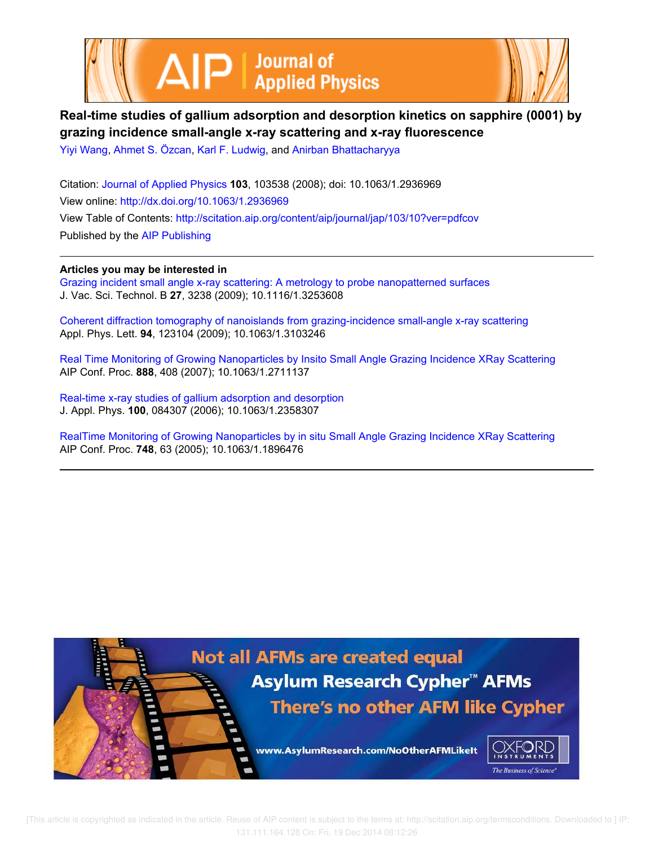



# **Real-time studies of gallium adsorption and desorption kinetics on sapphire (0001) by grazing incidence small-angle x-ray scattering and x-ray fluorescence**

Yiyi Wang, Ahmet S. Özcan, Karl F. Ludwig, and Anirban Bhattacharyya

Citation: Journal of Applied Physics **103**, 103538 (2008); doi: 10.1063/1.2936969 View online: http://dx.doi.org/10.1063/1.2936969 View Table of Contents: http://scitation.aip.org/content/aip/journal/jap/103/10?ver=pdfcov Published by the AIP Publishing

**Articles you may be interested in**

Grazing incident small angle x-ray scattering: A metrology to probe nanopatterned surfaces J. Vac. Sci. Technol. B **27**, 3238 (2009); 10.1116/1.3253608

Coherent diffraction tomography of nanoislands from grazing-incidence small-angle x-ray scattering Appl. Phys. Lett. **94**, 123104 (2009); 10.1063/1.3103246

Real Time Monitoring of Growing Nanoparticles by Insito Small Angle Grazing Incidence XRay Scattering AIP Conf. Proc. **888**, 408 (2007); 10.1063/1.2711137

Real-time x-ray studies of gallium adsorption and desorption J. Appl. Phys. **100**, 084307 (2006); 10.1063/1.2358307

RealTime Monitoring of Growing Nanoparticles by in situ Small Angle Grazing Incidence XRay Scattering AIP Conf. Proc. **748**, 63 (2005); 10.1063/1.1896476

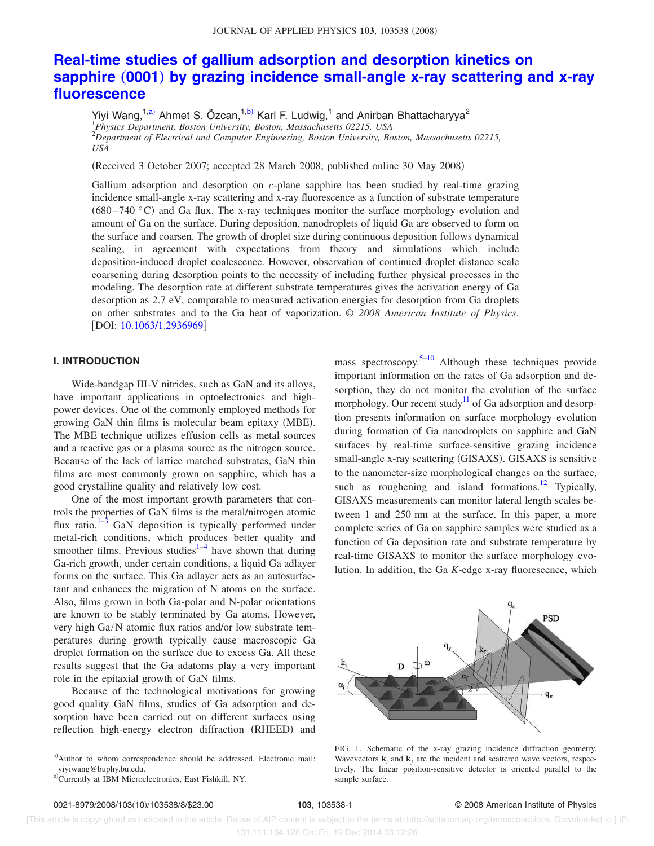# **Real-time studies of gallium adsorption and desorption kinetics on sapphire** (0001) by grazing incidence small-angle x-ray scattering and x-ray **fluorescence**

Yiyi Wang,<sup>1,a)</sup> Ahmet S. Özcan,<sup>1,b)</sup> Karl F. Ludwig,<sup>1</sup> and Anirban Bhattacharyya<sup>2</sup><br><sup>1</sup>Physics Department, Boston University, Boston, Massachusetts 02215, USA <sup>2</sup>*Department of Electrical and Computer Engineering, Boston University, Boston, Massachusetts 02215, USA*

Received 3 October 2007; accepted 28 March 2008; published online 30 May 2008-

Gallium adsorption and desorption on *c*-plane sapphire has been studied by real-time grazing incidence small-angle x-ray scattering and x-ray fluorescence as a function of substrate temperature  $(680-740 \degree C)$  and Ga flux. The x-ray techniques monitor the surface morphology evolution and amount of Ga on the surface. During deposition, nanodroplets of liquid Ga are observed to form on the surface and coarsen. The growth of droplet size during continuous deposition follows dynamical scaling, in agreement with expectations from theory and simulations which include deposition-induced droplet coalescence. However, observation of continued droplet distance scale coarsening during desorption points to the necessity of including further physical processes in the modeling. The desorption rate at different substrate temperatures gives the activation energy of Ga desorption as 2.7 eV, comparable to measured activation energies for desorption from Ga droplets on other substrates and to the Ga heat of vaporization. © *2008 American Institute of Physics*. [DOI: 10.1063/1.2936969]

### **I. INTRODUCTION**

Wide-bandgap III-V nitrides, such as GaN and its alloys, have important applications in optoelectronics and highpower devices. One of the commonly employed methods for growing GaN thin films is molecular beam epitaxy (MBE). The MBE technique utilizes effusion cells as metal sources and a reactive gas or a plasma source as the nitrogen source. Because of the lack of lattice matched substrates, GaN thin films are most commonly grown on sapphire, which has a good crystalline quality and relatively low cost.

One of the most important growth parameters that controls the properties of GaN films is the metal/nitrogen atomic flux ratio.<sup>1–3</sup> GaN deposition is typically performed under metal-rich conditions, which produces better quality and smoother films. Previous studies $1-4$  have shown that during Ga-rich growth, under certain conditions, a liquid Ga adlayer forms on the surface. This Ga adlayer acts as an autosurfactant and enhances the migration of N atoms on the surface. Also, films grown in both Ga-polar and N-polar orientations are known to be stably terminated by Ga atoms. However, very high Ga/N atomic flux ratios and/or low substrate temperatures during growth typically cause macroscopic Ga droplet formation on the surface due to excess Ga. All these results suggest that the Ga adatoms play a very important role in the epitaxial growth of GaN films.

Because of the technological motivations for growing good quality GaN films, studies of Ga adsorption and desorption have been carried out on different surfaces using reflection high-energy electron diffraction (RHEED) and

mass spectroscopy.<sup>5–10</sup> Although these techniques provide important information on the rates of Ga adsorption and desorption, they do not monitor the evolution of the surface morphology. Our recent study<sup>11</sup> of Ga adsorption and desorption presents information on surface morphology evolution during formation of Ga nanodroplets on sapphire and GaN surfaces by real-time surface-sensitive grazing incidence small-angle x-ray scattering (GISAXS). GISAXS is sensitive to the nanometer-size morphological changes on the surface, such as roughening and island formations.<sup>12</sup> Typically, GISAXS measurements can monitor lateral length scales between 1 and 250 nm at the surface. In this paper, a more complete series of Ga on sapphire samples were studied as a function of Ga deposition rate and substrate temperature by real-time GISAXS to monitor the surface morphology evolution. In addition, the Ga *K*-edge x-ray fluorescence, which



FIG. 1. Schematic of the x-ray grazing incidence diffraction geometry. Wavevectors  $\mathbf{k}_i$  and  $\mathbf{k}_f$  are the incident and scattered wave vectors, respectively. The linear position-sensitive detector is oriented parallel to the sample surface.

### 103, 103538-1 <sup>©</sup> 2008 American Institute of Physics

a)Author to whom correspondence should be addressed. Electronic mail: yiyiwang@buphy.bu.edu.

b) Currently at IBM Microelectronics, East Fishkill, NY.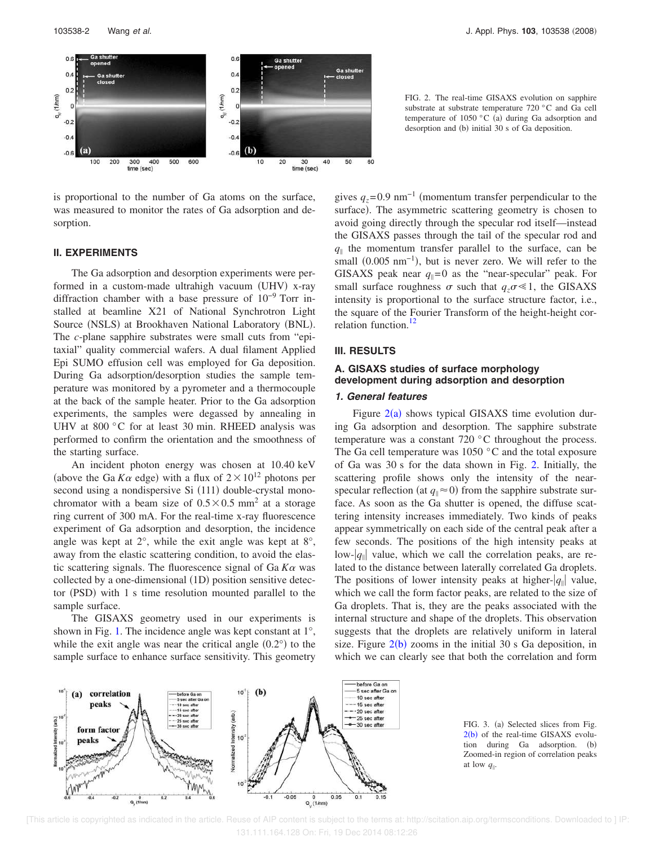

is proportional to the number of Ga atoms on the surface, was measured to monitor the rates of Ga adsorption and desorption.

#### **II. EXPERIMENTS**

The Ga adsorption and desorption experiments were performed in a custom-made ultrahigh vacuum (UHV) x-ray diffraction chamber with a base pressure of 10−9 Torr installed at beamline X21 of National Synchrotron Light Source (NSLS) at Brookhaven National Laboratory (BNL). The *c*-plane sapphire substrates were small cuts from "epitaxial" quality commercial wafers. A dual filament Applied Epi SUMO effusion cell was employed for Ga deposition. During Ga adsorption/desorption studies the sample temperature was monitored by a pyrometer and a thermocouple at the back of the sample heater. Prior to the Ga adsorption experiments, the samples were degassed by annealing in UHV at 800 °C for at least 30 min. RHEED analysis was performed to confirm the orientation and the smoothness of the starting surface.

An incident photon energy was chosen at 10.40 keV (above the Ga  $K\alpha$  edge) with a flux of  $2 \times 10^{12}$  photons per second using a nondispersive Si (111) double-crystal monochromator with a beam size of  $0.5 \times 0.5$  mm<sup>2</sup> at a storage ring current of 300 mA. For the real-time x-ray fluorescence experiment of Ga adsorption and desorption, the incidence angle was kept at 2°, while the exit angle was kept at 8°, away from the elastic scattering condition, to avoid the elastic scattering signals. The fluorescence signal of  $Ga K\alpha$  was collected by a one-dimensional (1D) position sensitive detector (PSD) with 1 s time resolution mounted parallel to the sample surface.

The GISAXS geometry used in our experiments is shown in Fig. 1. The incidence angle was kept constant at 1°, while the exit angle was near the critical angle  $(0.2^{\circ})$  to the sample surface to enhance surface sensitivity. This geometry



gives  $q_z$ =0.9 nm<sup>-1</sup> (momentum transfer perpendicular to the surface). The asymmetric scattering geometry is chosen to avoid going directly through the specular rod itself—instead the GISAXS passes through the tail of the specular rod and  $q_{\parallel}$  the momentum transfer parallel to the surface, can be small  $(0.005 \text{ nm}^{-1})$ , but is never zero. We will refer to the GISAXS peak near  $q_{\parallel}=0$  as the "near-specular" peak. For small surface roughness  $\sigma$  such that  $q_{\tau}\sigma \ll 1$ , the GISAXS intensity is proportional to the surface structure factor, i.e., the square of the Fourier Transform of the height-height correlation function.<sup>12</sup>

#### **III. RESULTS**

# **A. GISAXS studies of surface morphology development during adsorption and desorption**

#### **1. General features**

Figure  $2(a)$  shows typical GISAXS time evolution during Ga adsorption and desorption. The sapphire substrate temperature was a constant 720 °C throughout the process. The Ga cell temperature was 1050 °C and the total exposure of Ga was 30 s for the data shown in Fig. 2. Initially, the scattering profile shows only the intensity of the nearspecular reflection (at  $q_{\parallel} \approx 0$ ) from the sapphire substrate surface. As soon as the Ga shutter is opened, the diffuse scattering intensity increases immediately. Two kinds of peaks appear symmetrically on each side of the central peak after a few seconds. The positions of the high intensity peaks at low- $|q_{\parallel}|$  value, which we call the correlation peaks, are related to the distance between laterally correlated Ga droplets. The positions of lower intensity peaks at higher- $|q_{\parallel}|$  value, which we call the form factor peaks, are related to the size of Ga droplets. That is, they are the peaks associated with the internal structure and shape of the droplets. This observation suggests that the droplets are relatively uniform in lateral size. Figure  $2(b)$  zooms in the initial 30 s Ga deposition, in which we can clearly see that both the correlation and form



FIG. 3. (a) Selected slices from Fig.  $2(b)$  of the real-time GISAXS evolution during Ga adsorption. (b) Zoomed-in region of correlation peaks at low  $q_{\parallel}$ .

 <sup>[</sup>This article is copyrighted as indicated in the article. Reuse of AIP content is subject to the terms at: http://scitation.aip.org/termsconditions. Downloaded to ] IP: 131.111.164.128 On: Fri, 19 Dec 2014 08:12:26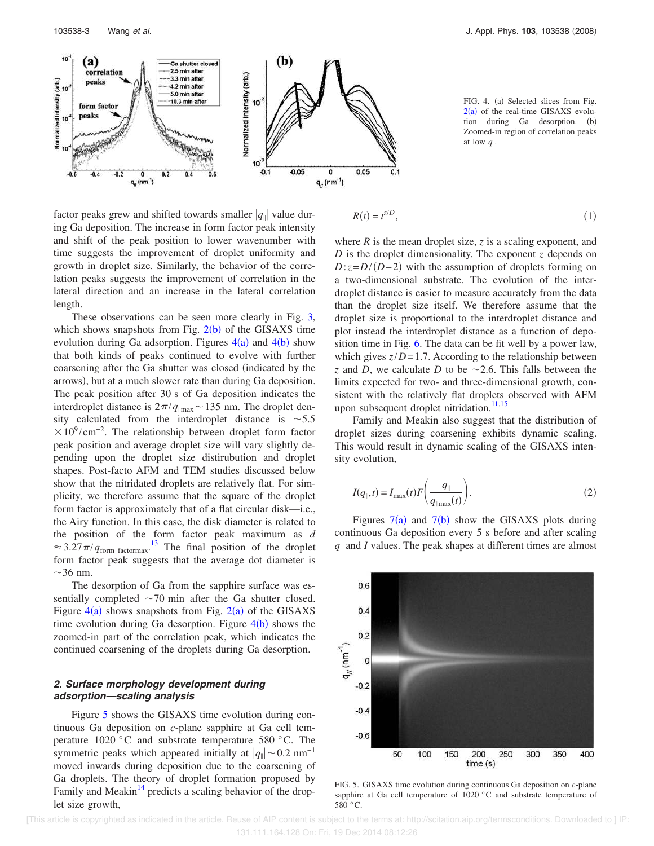

factor peaks grew and shifted towards smaller  $|q_{\parallel}|$  value during Ga deposition. The increase in form factor peak intensity and shift of the peak position to lower wavenumber with time suggests the improvement of droplet uniformity and growth in droplet size. Similarly, the behavior of the correlation peaks suggests the improvement of correlation in the lateral direction and an increase in the lateral correlation length.

These observations can be seen more clearly in Fig. 3, which shows snapshots from Fig.  $2(b)$  of the GISAXS time evolution during Ga adsorption. Figures  $4(a)$  and  $4(b)$  show that both kinds of peaks continued to evolve with further coarsening after the Ga shutter was closed indicated by the arrows), but at a much slower rate than during Ga deposition. The peak position after 30 s of Ga deposition indicates the interdroplet distance is  $2\pi/q_{\text{max}}$  ~ 135 nm. The droplet density calculated from the interdroplet distance is  $\sim$  5.5  $\times 10^9$ /cm<sup>-2</sup>. The relationship between droplet form factor peak position and average droplet size will vary slightly depending upon the droplet size distirubution and droplet shapes. Post-facto AFM and TEM studies discussed below show that the nitridated droplets are relatively flat. For simplicity, we therefore assume that the square of the droplet form factor is approximately that of a flat circular disk—i.e., the Airy function. In this case, the disk diameter is related to the position of the form factor peak maximum as *d*  $\approx 3.27\pi/q_{\text{form factor}}^{3.13}$  The final position of the droplet form factor peak suggests that the average dot diameter is  $\sim$ 36 nm.

The desorption of Ga from the sapphire surface was essentially completed  $\sim$ 70 min after the Ga shutter closed. Figure  $4(a)$  shows snapshots from Fig.  $2(a)$  of the GISAXS time evolution during Ga desorption. Figure  $4(b)$  shows the zoomed-in part of the correlation peak, which indicates the continued coarsening of the droplets during Ga desorption.

# **2. Surface morphology development during adsorption—scaling analysis**

Figure 5 shows the GISAXS time evolution during continuous Ga deposition on *c*-plane sapphire at Ga cell temperature 1020 °C and substrate temperature 580 °C. The symmetric peaks which appeared initially at  $|q_{\parallel}| \sim 0.2$  nm<sup>-1</sup> moved inwards during deposition due to the coarsening of Ga droplets. The theory of droplet formation proposed by Family and Meakin $14$  predicts a scaling behavior of the droplet size growth,

FIG. 4. (a) Selected slices from Fig.  $2(a)$  of the real-time GISAXS evolution during Ga desorption. (b) Zoomed-in region of correlation peaks at low  $q_{\parallel}$ .

$$
R(t) = t^{z/D},\tag{1}
$$

where *R* is the mean droplet size, *z* is a scaling exponent, and *D* is the droplet dimensionality. The exponent *z* depends on  $D:z=D/(D-2)$  with the assumption of droplets forming on a two-dimensional substrate. The evolution of the interdroplet distance is easier to measure accurately from the data than the droplet size itself. We therefore assume that the droplet size is proportional to the interdroplet distance and plot instead the interdroplet distance as a function of deposition time in Fig. 6. The data can be fit well by a power law, which gives  $z/D = 1.7$ . According to the relationship between *z* and *D*, we calculate *D* to be  $\sim$  2.6. This falls between the limits expected for two- and three-dimensional growth, consistent with the relatively flat droplets observed with AFM upon subsequent droplet nitridation.<sup>11,15</sup>

Family and Meakin also suggest that the distribution of droplet sizes during coarsening exhibits dynamic scaling. This would result in dynamic scaling of the GISAXS intensity evolution,

$$
I(q_{\parallel},t) = I_{\text{max}}(t)F\left(\frac{q_{\parallel}}{q_{\parallel \text{max}}(t)}\right).
$$
 (2)

Figures  $7(a)$  and  $7(b)$  show the GISAXS plots during continuous Ga deposition every 5 s before and after scaling  $q_{\parallel}$  and *I* values. The peak shapes at different times are almost



FIG. 5. GISAXS time evolution during continuous Ga deposition on *c*-plane sapphire at Ga cell temperature of 1020 °C and substrate temperature of 580 °C.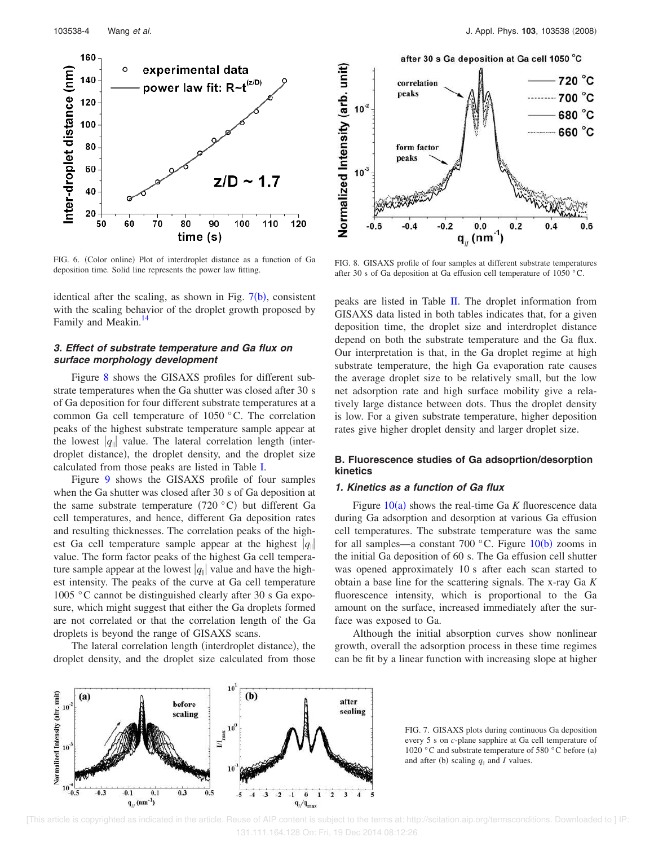

FIG. 6. (Color online) Plot of interdroplet distance as a function of Ga deposition time. Solid line represents the power law fitting.

identical after the scaling, as shown in Fig.  $7(b)$ , consistent with the scaling behavior of the droplet growth proposed by Family and Meakin.<sup>14</sup>

# **3. Effect of substrate temperature and Ga flux on surface morphology development**

Figure 8 shows the GISAXS profiles for different substrate temperatures when the Ga shutter was closed after 30 s of Ga deposition for four different substrate temperatures at a common Ga cell temperature of 1050 °C. The correlation peaks of the highest substrate temperature sample appear at the lowest  $|q_{\parallel}|$  value. The lateral correlation length (interdroplet distance), the droplet density, and the droplet size calculated from those peaks are listed in Table I.

Figure 9 shows the GISAXS profile of four samples when the Ga shutter was closed after 30 s of Ga deposition at the same substrate temperature  $(720 °C)$  but different Ga cell temperatures, and hence, different Ga deposition rates and resulting thicknesses. The correlation peaks of the highest Ga cell temperature sample appear at the highest  $|q_{\parallel}|$ value. The form factor peaks of the highest Ga cell temperature sample appear at the lowest  $|q_{\parallel}|$  value and have the highest intensity. The peaks of the curve at Ga cell temperature 1005 °C cannot be distinguished clearly after 30 s Ga exposure, which might suggest that either the Ga droplets formed are not correlated or that the correlation length of the Ga droplets is beyond the range of GISAXS scans.

The lateral correlation length (interdroplet distance), the droplet density, and the droplet size calculated from those



FIG. 8. GISAXS profile of four samples at different substrate temperatures after 30 s of Ga deposition at Ga effusion cell temperature of 1050 °C.

peaks are listed in Table II. The droplet information from GISAXS data listed in both tables indicates that, for a given deposition time, the droplet size and interdroplet distance depend on both the substrate temperature and the Ga flux. Our interpretation is that, in the Ga droplet regime at high substrate temperature, the high Ga evaporation rate causes the average droplet size to be relatively small, but the low net adsorption rate and high surface mobility give a relatively large distance between dots. Thus the droplet density is low. For a given substrate temperature, higher deposition rates give higher droplet density and larger droplet size.

# **B. Fluorescence studies of Ga adsoprtion/desorption kinetics**

### **1. Kinetics as a function of Ga flux**

Figure 10(a) shows the real-time Ga *K* fluorescence data during Ga adsorption and desorption at various Ga effusion cell temperatures. The substrate temperature was the same for all samples—a constant 700 °C. Figure  $10(b)$  zooms in the initial Ga deposition of 60 s. The Ga effusion cell shutter was opened approximately 10 s after each scan started to obtain a base line for the scattering signals. The x-ray Ga *K* fluorescence intensity, which is proportional to the Ga amount on the surface, increased immediately after the surface was exposed to Ga.

Although the initial absorption curves show nonlinear growth, overall the adsorption process in these time regimes can be fit by a linear function with increasing slope at higher



FIG. 7. GISAXS plots during continuous Ga deposition every 5 s on *c*-plane sapphire at Ga cell temperature of 1020 °C and substrate temperature of 580 °C before (a) and after (b) scaling  $q_{\parallel}$  and *I* values.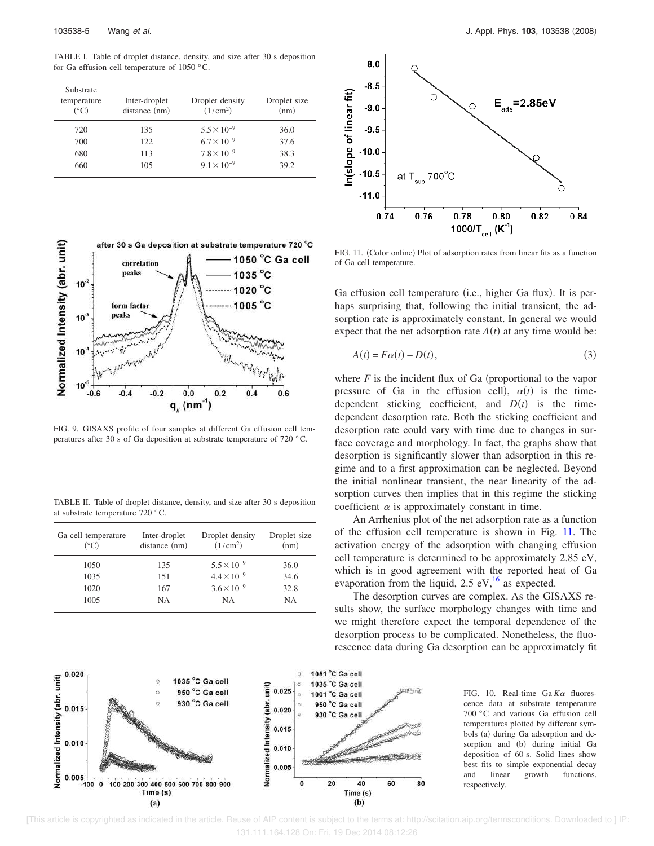103538-5 Wang et al. J. Appl. Phys. **103**, 103538 -2008

TABLE I. Table of droplet distance, density, and size after 30 s deposition for Ga effusion cell temperature of 1050 °C.

| Substrate<br>temperature<br>(°C) | Inter-droplet<br>distance (nm) | Droplet density<br>(1/cm <sup>2</sup> ) | Droplet size<br>(nm) |
|----------------------------------|--------------------------------|-----------------------------------------|----------------------|
| 720                              | 135                            | $5.5 \times 10^{-9}$                    | 36.0                 |
| 700                              | 122.                           | $6.7 \times 10^{-9}$                    | 37.6                 |
| 680                              | 113                            | $7.8 \times 10^{-9}$                    | 38.3                 |
| 660                              | 105                            | $9.1 \times 10^{-9}$                    | 39.2                 |





FIG. 9. GISAXS profile of four samples at different Ga effusion cell temperatures after 30 s of Ga deposition at substrate temperature of 720 °C.

TABLE II. Table of droplet distance, density, and size after 30 s deposition at substrate temperature 720 °C.

| Ga cell temperature<br>(°C) | Inter-droplet<br>distance (nm) | Droplet density<br>(1/cm <sup>2</sup> ) | Droplet size<br>(nm) |
|-----------------------------|--------------------------------|-----------------------------------------|----------------------|
| 1050                        | 135                            | $5.5 \times 10^{-9}$                    | 36.0                 |
| 1035                        | 151                            | $4.4 \times 10^{-9}$                    | 34.6                 |
| 1020                        | 167                            | $3.6 \times 10^{-9}$                    | 32.8                 |
| 1005                        | NA                             | <b>NA</b>                               | NΑ                   |



FIG. 11. (Color online) Plot of adsorption rates from linear fits as a function of Ga cell temperature.

Ga effusion cell temperature (i.e., higher Ga flux). It is perhaps surprising that, following the initial transient, the adsorption rate is approximately constant. In general we would expect that the net adsorption rate  $A(t)$  at any time would be:

$$
A(t) = F\alpha(t) - D(t),\tag{3}
$$

where  $F$  is the incident flux of Ga (proportional to the vapor pressure of Ga in the effusion cell),  $\alpha(t)$  is the timedependent sticking coefficient, and  $D(t)$  is the timedependent desorption rate. Both the sticking coefficient and desorption rate could vary with time due to changes in surface coverage and morphology. In fact, the graphs show that desorption is significantly slower than adsorption in this regime and to a first approximation can be neglected. Beyond the initial nonlinear transient, the near linearity of the adsorption curves then implies that in this regime the sticking coefficient  $\alpha$  is approximately constant in time.

An Arrhenius plot of the net adsorption rate as a function of the effusion cell temperature is shown in Fig. 11. The activation energy of the adsorption with changing effusion cell temperature is determined to be approximately 2.85 eV, which is in good agreement with the reported heat of Ga evaporation from the liquid, 2.5 eV, $^{16}$  as expected.

The desorption curves are complex. As the GISAXS results show, the surface morphology changes with time and we might therefore expect the temporal dependence of the desorption process to be complicated. Nonetheless, the fluorescence data during Ga desorption can be approximately fit

80

FIG. 10. Real-time Ga  $K\alpha$  fluorescence data at substrate temperature 700 °C and various Ga effusion cell temperatures plotted by different symbols (a) during Ga adsorption and desorption and (b) during initial Ga deposition of 60 s. Solid lines show best fits to simple exponential decay and linear growth functions, respectively.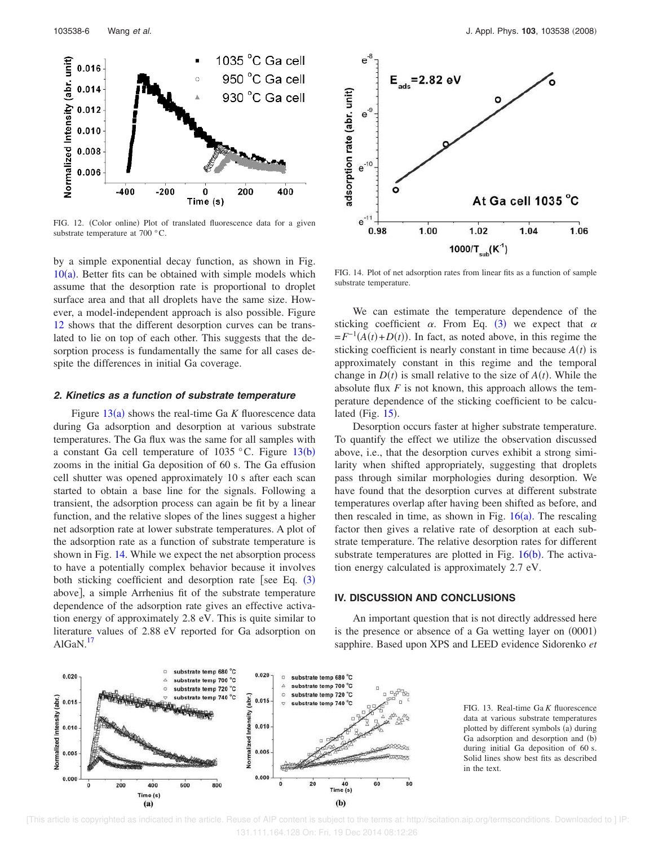

FIG. 12. (Color online) Plot of translated fluorescence data for a given substrate temperature at 700 °C.

by a simple exponential decay function, as shown in Fig.  $10(a)$ . Better fits can be obtained with simple models which assume that the desorption rate is proportional to droplet surface area and that all droplets have the same size. However, a model-independent approach is also possible. Figure 12 shows that the different desorption curves can be translated to lie on top of each other. This suggests that the desorption process is fundamentally the same for all cases despite the differences in initial Ga coverage.

### **2. Kinetics as a function of substrate temperature**

Figure  $13(a)$  shows the real-time Ga K fluorescence data during Ga adsorption and desorption at various substrate temperatures. The Ga flux was the same for all samples with a constant Ga cell temperature of  $1035$  °C. Figure  $13(b)$ zooms in the initial Ga deposition of 60 s. The Ga effusion cell shutter was opened approximately 10 s after each scan started to obtain a base line for the signals. Following a transient, the adsorption process can again be fit by a linear function, and the relative slopes of the lines suggest a higher net adsorption rate at lower substrate temperatures. A plot of the adsorption rate as a function of substrate temperature is shown in Fig. 14. While we expect the net absorption process to have a potentially complex behavior because it involves both sticking coefficient and desorption rate [see Eq.  $(3)$ above], a simple Arrhenius fit of the substrate temperature dependence of the adsorption rate gives an effective activation energy of approximately 2.8 eV. This is quite similar to literature values of 2.88 eV reported for Ga adsorption on  $AlGaN.<sup>17</sup>$ 



FIG. 14. Plot of net adsorption rates from linear fits as a function of sample substrate temperature.

We can estimate the temperature dependence of the sticking coefficient  $\alpha$ . From Eq. (3) we expect that  $\alpha$  $=F^{-1}(A(t)+D(t))$ . In fact, as noted above, in this regime the sticking coefficient is nearly constant in time because  $A(t)$  is approximately constant in this regime and the temporal change in  $D(t)$  is small relative to the size of  $A(t)$ . While the absolute flux *F* is not known, this approach allows the temperature dependence of the sticking coefficient to be calculated (Fig.  $15$ ).

Desorption occurs faster at higher substrate temperature. To quantify the effect we utilize the observation discussed above, i.e., that the desorption curves exhibit a strong similarity when shifted appropriately, suggesting that droplets pass through similar morphologies during desorption. We have found that the desorption curves at different substrate temperatures overlap after having been shifted as before, and then rescaled in time, as shown in Fig.  $16(a)$ . The rescaling factor then gives a relative rate of desorption at each substrate temperature. The relative desorption rates for different substrate temperatures are plotted in Fig.  $16(b)$ . The activation energy calculated is approximately 2.7 eV.

# **IV. DISCUSSION AND CONCLUSIONS**

An important question that is not directly addressed here is the presence or absence of a Ga wetting layer on  $(0001)$ sapphire. Based upon XPS and LEED evidence Sidorenko *et*



FIG. 13. Real-time Ga *K* fluorescence data at various substrate temperatures plotted by different symbols (a) during Ga adsorption and desorption and (b) during initial Ga deposition of 60 s. Solid lines show best fits as described in the text.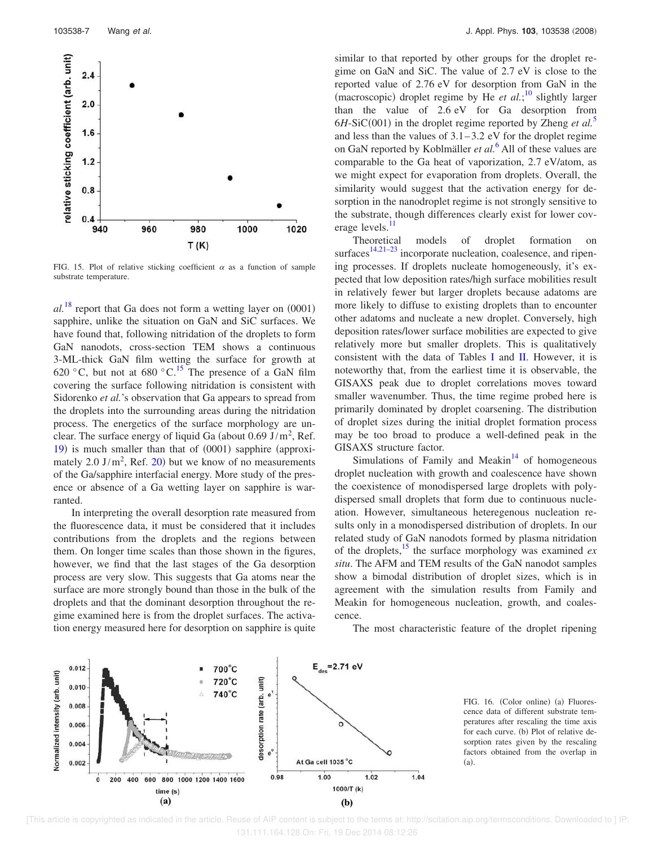

FIG. 15. Plot of relative sticking coefficient  $\alpha$  as a function of sample substrate temperature.

 $al.^{18}$  report that Ga does not form a wetting layer on  $(0001)$ sapphire, unlike the situation on GaN and SiC surfaces. We have found that, following nitridation of the droplets to form GaN nanodots, cross-section TEM shows a continuous 3-ML-thick GaN film wetting the surface for growth at 620 °C, but not at 680 °C.<sup>15</sup> The presence of a GaN film covering the surface following nitridation is consistent with Sidorenko *et al.*'s observation that Ga appears to spread from the droplets into the surrounding areas during the nitridation process. The energetics of the surface morphology are unclear. The surface energy of liquid Ga (about  $0.69 \text{ J/m}^2$ , Ref. 19) is much smaller than that of (0001) sapphire (approximately  $2.0 \text{ J/m}^2$ , Ref. 20) but we know of no measurements of the Ga/sapphire interfacial energy. More study of the presence or absence of a Ga wetting layer on sapphire is warranted.

In interpreting the overall desorption rate measured from the fluorescence data, it must be considered that it includes contributions from the droplets and the regions between them. On longer time scales than those shown in the figures, however, we find that the last stages of the Ga desorption process are very slow. This suggests that Ga atoms near the surface are more strongly bound than those in the bulk of the droplets and that the dominant desorption throughout the regime examined here is from the droplet surfaces. The activation energy measured here for desorption on sapphire is quite similar to that reported by other groups for the droplet regime on GaN and SiC. The value of 2.7 eV is close to the reported value of 2.76 eV for desorption from GaN in the (macroscopic) droplet regime by He *et al.*;<sup>10</sup> slightly larger than the value of 2.6 eV for Ga desorption from  $6H-SiC(001)$  in the droplet regime reported by Zheng *et al.*<sup>5</sup> and less than the values of 3.1–3.2 eV for the droplet regime on GaN reported by Koblmäller *et al.*<sup>6</sup> All of these values are comparable to the Ga heat of vaporization, 2.7 eV/atom, as we might expect for evaporation from droplets. Overall, the similarity would suggest that the activation energy for desorption in the nanodroplet regime is not strongly sensitive to the substrate, though differences clearly exist for lower coverage levels.<sup>11</sup>

Theoretical models of droplet formation on surfaces $14,21-23$  incorporate nucleation, coalesence, and ripening processes. If droplets nucleate homogeneously, it's expected that low deposition rates/high surface mobilities result in relatively fewer but larger droplets because adatoms are more likely to diffuse to existing droplets than to encounter other adatoms and nucleate a new droplet. Conversely, high deposition rates/lower surface mobilities are expected to give relatively more but smaller droplets. This is qualitatively consistent with the data of Tables I and II. However, it is noteworthy that, from the earliest time it is observable, the GISAXS peak due to droplet correlations moves toward smaller wavenumber. Thus, the time regime probed here is primarily dominated by droplet coarsening. The distribution of droplet sizes during the initial droplet formation process may be too broad to produce a well-defined peak in the GISAXS structure factor.

Simulations of Family and Meakin $14$  of homogeneous droplet nucleation with growth and coalescence have shown the coexistence of monodispersed large droplets with polydispersed small droplets that form due to continuous nucleation. However, simultaneous heteregenous nucleation results only in a monodispersed distribution of droplets. In our related study of GaN nanodots formed by plasma nitridation of the droplets,<sup>15</sup> the surface morphology was examined *ex situ*. The AFM and TEM results of the GaN nanodot samples show a bimodal distribution of droplet sizes, which is in agreement with the simulation results from Family and Meakin for homogeneous nucleation, growth, and coalescence.

The most characteristic feature of the droplet ripening



FIG. 16. (Color online) (a) Fluorescence data of different substrate temperatures after rescaling the time axis for each curve. (b) Plot of relative desorption rates given by the rescaling factors obtained from the overlap in  $(a)$ .